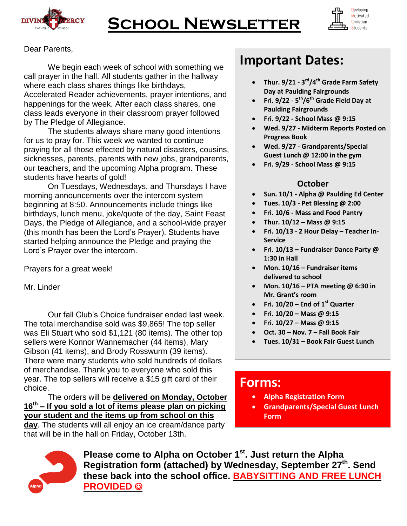

# **School Newsletter**



Dear Parents,

We begin each week of school with something we call prayer in the hall. All students gather in the hallway where each class shares things like birthdays, Accelerated Reader achievements, prayer intentions, and happenings for the week. After each class shares, one class leads everyone in their classroom prayer followed by The Pledge of Allegiance.

The students always share many good intentions for us to pray for. This week we wanted to continue praying for all those effected by natural disasters, cousins, sicknesses, parents, parents with new jobs, grandparents, our teachers, and the upcoming Alpha program. These students have hearts of gold!

On Tuesdays, Wednesdays, and Thursdays I have morning announcements over the intercom system beginning at 8:50. Announcements include things like birthdays, lunch menu, joke/quote of the day, Saint Feast Days, the Pledge of Allegiance, and a school-wide prayer (this month has been the Lord's Prayer). Students have started helping announce the Pledge and praying the Lord's Prayer over the intercom.

Prayers for a great week!

Mr. Linder

Our fall Club's Choice fundraiser ended last week. The total merchandise sold was \$9,865! The top seller was Eli Stuart who sold \$1,121 (80 items). The other top sellers were Konnor Wannemacher (44 items), Mary Gibson (41 items), and Brody Rosswurm (39 items). There were many students who sold hundreds of dollars of merchandise. Thank you to everyone who sold this year. The top sellers will receive a \$15 gift card of their choice.

The orders will be **delivered on Monday, October 16th – If you sold a lot of items please plan on picking your student and the items up from school on this day**. The students will all enjoy an ice cream/dance party that will be in the hall on Friday, October 13th.

### **Important Dates:**

- **Thur. 9/21 - 3 rd/4th Grade Farm Safety Day at Paulding Fairgrounds**
- **Fri. 9/22 - 5 th/6th Grade Field Day at Paulding Fairgrounds**
- **Fri. 9/22 - School Mass @ 9:15**
- **Wed. 9/27 - Midterm Reports Posted on Progress Book**
- **Wed. 9/27 - Grandparents/Special Guest Lunch @ 12:00 in the gym**
- **Fri. 9/29 - School Mass @ 9:15**

#### **October**

- **Sun. 10/1 - Alpha @ Paulding Ed Center**
- **Tues. 10/3 - Pet Blessing @ 2:00**
- **Fri. 10/6 - Mass and Food Pantry**
- **Thur. 10/12 – Mass @ 9:15**
- **Fri. 10/13 - 2 Hour Delay – Teacher In-Service**
- **Fri. 10/13 – Fundraiser Dance Party @ 1:30 in Hall**
- **Mon. 10/16 – Fundraiser items delivered to school**
- **Mon. 10/16 – PTA meeting @ 6:30 in Mr. Grant's room**
- **Fri. 10/20 – End of 1st Quarter**
- **Fri. 10/20 – Mass @ 9:15**
- **Fri. 10/27 – Mass @ 9:15**
- **Oct. 30 – Nov. 7 – Fall Book Fair**
- **Tues. 10/31 – Book Fair Guest Lunch**

### **Forms:**

- **Alpha Registration Form**
- **Grandparents/Special Guest Lunch Form**



**Please come to Alpha on October 1st . Just return the Alpha Registration form (attached) by Wednesday, September 27th . Send these back into the school office. BABYSITTING AND FREE LUNCH PROVIDED**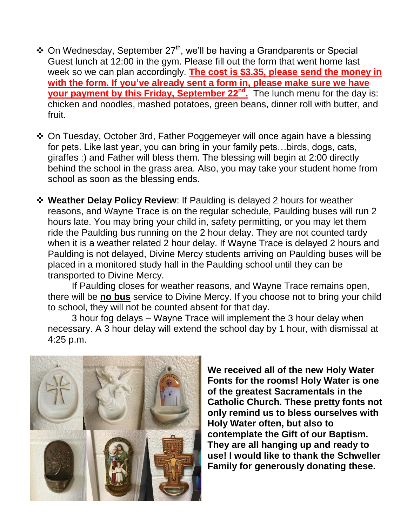- $\triangle$  On Wednesday, September 27<sup>th</sup>, we'll be having a Grandparents or Special Guest lunch at 12:00 in the gym. Please fill out the form that went home last week so we can plan accordingly. **The cost is \$3.35, please send the money in with the form. If you've already sent a form in, please make sure we have your payment by this Friday, September 22<sup>nd</sup>.** The lunch menu for the day is: chicken and noodles, mashed potatoes, green beans, dinner roll with butter, and fruit.
- On Tuesday, October 3rd, Father Poggemeyer will once again have a blessing for pets. Like last year, you can bring in your family pets…birds, dogs, cats, giraffes :) and Father will bless them. The blessing will begin at 2:00 directly behind the school in the grass area. Also, you may take your student home from school as soon as the blessing ends.
- **Weather Delay Policy Review**: If Paulding is delayed 2 hours for weather reasons, and Wayne Trace is on the regular schedule, Paulding buses will run 2 hours late. You may bring your child in, safety permitting, or you may let them ride the Paulding bus running on the 2 hour delay. They are not counted tardy when it is a weather related 2 hour delay. If Wayne Trace is delayed 2 hours and Paulding is not delayed, Divine Mercy students arriving on Paulding buses will be placed in a monitored study hall in the Paulding school until they can be transported to Divine Mercy.

If Paulding closes for weather reasons, and Wayne Trace remains open, there will be **no bus** service to Divine Mercy. If you choose not to bring your child to school, they will not be counted absent for that day.

3 hour fog delays – Wayne Trace will implement the 3 hour delay when necessary. A 3 hour delay will extend the school day by 1 hour, with dismissal at 4:25 p.m.



**We received all of the new Holy Water Fonts for the rooms! Holy Water is one of the greatest Sacramentals in the Catholic Church. These pretty fonts not only remind us to bless ourselves with Holy Water often, but also to contemplate the Gift of our Baptism. They are all hanging up and ready to use! I would like to thank the Schweller Family for generously donating these.**